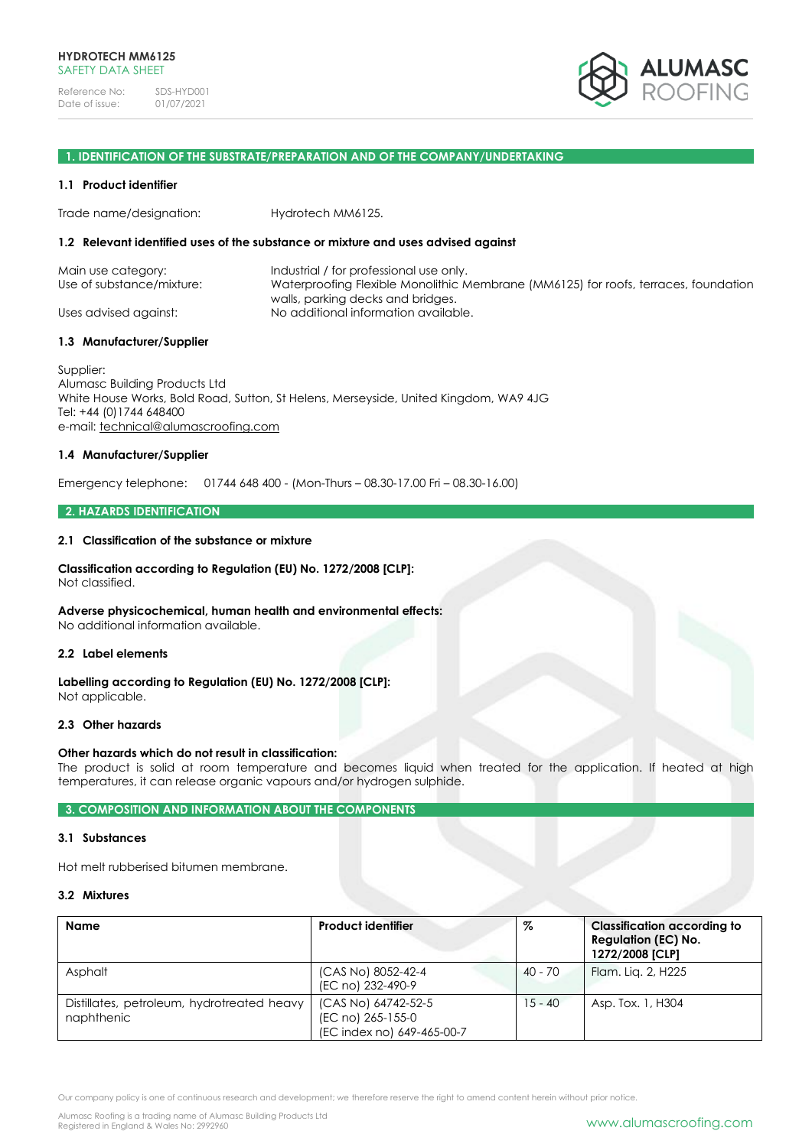

### **1. IDENTIFICATION OF THE SUBSTRATE/PREPARATION AND OF THE COMPANY/UNDERTAKING**

#### **1.1 Product identifier**

Trade name/designation: Hydrotech MM6125.

#### **1.2 Relevant identified uses of the substance or mixture and uses advised against**

| Main use category:        | Industrial / for professional use only.                                             |
|---------------------------|-------------------------------------------------------------------------------------|
| Use of substance/mixture: | Waterproofing Flexible Monolithic Membrane (MM6125) for roofs, terraces, foundation |
| Uses advised against:     | walls, parking decks and bridges.<br>No additional information available.           |

#### **1.3 Manufacturer/Supplier**

Supplier: Alumasc Building Products Ltd White House Works, Bold Road, Sutton, St Helens, Merseyside, United Kingdom, WA9 4JG Tel: +44 (0)1744 648400 e-mail: [technical@alumascroofing.com](mailto:technical@alumascroofing.com)

## **1.4 Manufacturer/Supplier**

Emergency telephone: 01744 648 400 - (Mon-Thurs – 08.30-17.00 Fri – 08.30-16.00)

#### **2. HAZARDS IDENTIFICATION**

#### **2.1 Classification of the substance or mixture**

## **Classification according to Regulation (EU) No. 1272/2008 [CLP]:**

Not classified.

## **Adverse physicochemical, human health and environmental effects:**

No additional information available.

#### **2.2 Label elements**

**Labelling according to Regulation (EU) No. 1272/2008 [CLP]:** Not applicable.

#### **2.3 Other hazards**

### **Other hazards which do not result in classification:**

The product is solid at room temperature and becomes liquid when treated for the application. If heated at high temperatures, it can release organic vapours and/or hydrogen sulphide.

## **3. COMPOSITION AND INFORMATION ABOUT THE COMPONENTS**

### **3.1 Substances**

Hot melt rubberised bitumen membrane.

#### **3.2 Mixtures**

| Name                                                     | <b>Product identifier</b>                                              | %         | <b>Classification according to</b><br><b>Regulation (EC) No.</b><br>1272/2008 [CLP] |
|----------------------------------------------------------|------------------------------------------------------------------------|-----------|-------------------------------------------------------------------------------------|
| Asphalt                                                  | (CAS No) 8052-42-4<br>(EC no) 232-490-9                                | $40 - 70$ | Flam. Lig. 2, H225                                                                  |
| Distillates, petroleum, hydrotreated heavy<br>naphthenic | (CAS No) 64742-52-5<br>(EC no) 265-155-0<br>(EC index no) 649-465-00-7 | $15 - 40$ | Asp. Tox. 1, H304                                                                   |

Our company policy is one of continuous research and development; we therefore reserve the right to amend content herein without prior notice.

Alumasc Roofing is a trading name of Alumasc Building Products Ltd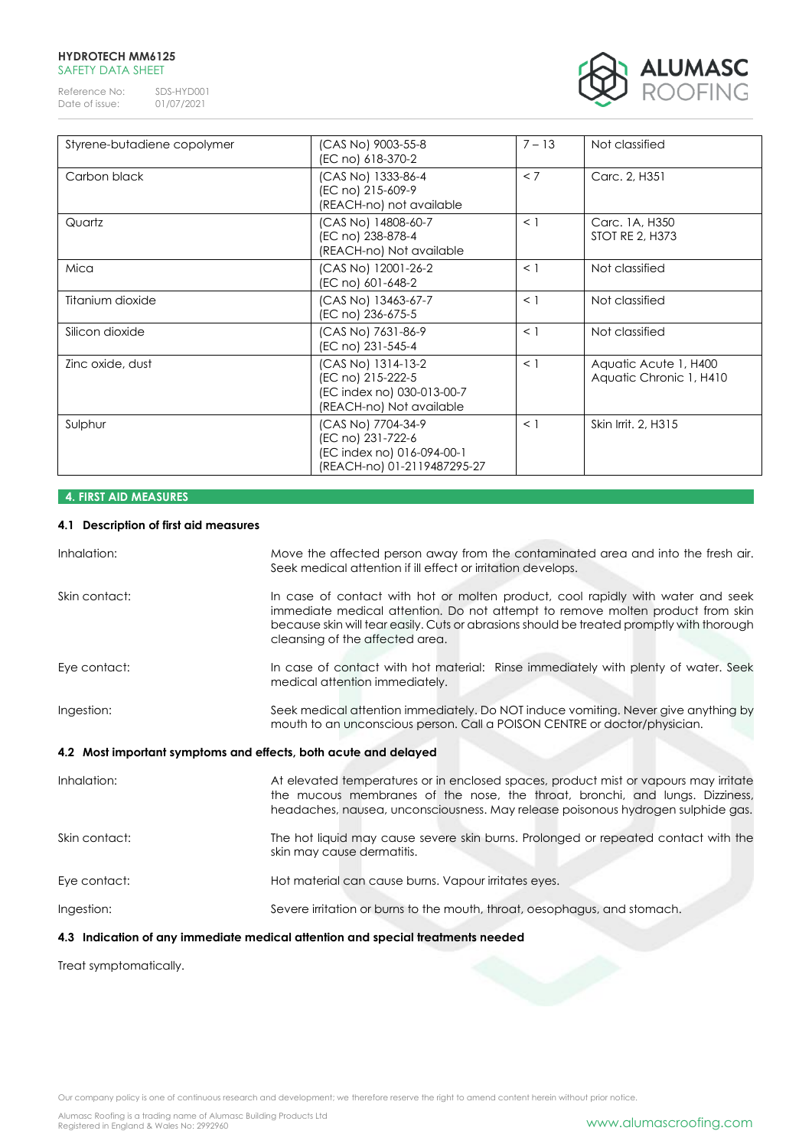## **HYDROTECH MM6125** SAFETY DATA SHEET

Reference No: SDS-HYD001<br>Date of issue: 01/07/2021 Date of issue:



| Styrene-butadiene copolymer | (CAS No) 9003-55-8<br>(EC no) 618-370-2                                                              | $7 - 13$ | Not classified                                   |
|-----------------------------|------------------------------------------------------------------------------------------------------|----------|--------------------------------------------------|
| Carbon black                | (CAS No) 1333-86-4<br>(EC no) 215-609-9<br>(REACH-no) not available                                  | < 7      | Carc. 2, H351                                    |
| Quartz                      | (CAS No) 14808-60-7<br>(EC no) 238-878-4<br>(REACH-no) Not available                                 | $\leq$ 1 | Carc. 1A, H350<br><b>STOT RE 2, H373</b>         |
| Mica                        | (CAS No) 12001-26-2<br>(EC no) 601-648-2                                                             | $\leq$ 1 | Not classified                                   |
| Titanium dioxide            | (CAS No) 13463-67-7<br>(EC no) 236-675-5                                                             | $\leq$ 1 | Not classified                                   |
| Silicon dioxide             | (CAS No) 7631-86-9<br>(EC no) 231-545-4                                                              | $\leq$ 1 | Not classified                                   |
| Zinc oxide, dust            | (CAS No) 1314-13-2<br>(EC no) 215-222-5<br>(EC index no) 030-013-00-7<br>(REACH-no) Not available    | $\leq$ 1 | Aquatic Acute 1, H400<br>Aquatic Chronic 1, H410 |
| Sulphur                     | (CAS No) 7704-34-9<br>(EC no) 231-722-6<br>(EC index no) 016-094-00-1<br>(REACH-no) 01-2119487295-27 | $\leq$ 1 | Skin Irrit, 2, H315                              |

# **4. FIRST AID MEASURES**

## **4.1 Description of first aid measures**

| Inhalation:                                                     | Move the affected person away from the contaminated area and into the fresh air.<br>Seek medical attention if ill effect or irritation develops.                                                                                                                                                  |
|-----------------------------------------------------------------|---------------------------------------------------------------------------------------------------------------------------------------------------------------------------------------------------------------------------------------------------------------------------------------------------|
| Skin contact:                                                   | In case of contact with hot or molten product, cool rapidly with water and seek<br>immediate medical attention. Do not attempt to remove molten product from skin<br>because skin will tear easily. Cuts or abrasions should be treated promptly with thorough<br>cleansing of the affected area. |
| Eye contact:                                                    | In case of contact with hot material: Rinse immediately with plenty of water. Seek<br>medical attention immediately.                                                                                                                                                                              |
| Ingestion:                                                      | Seek medical attention immediately. Do NOT induce vomiting. Never give anything by<br>mouth to an unconscious person. Call a POISON CENTRE or doctor/physician.                                                                                                                                   |
| 4.2 Most important symptoms and effects, both acute and delayed |                                                                                                                                                                                                                                                                                                   |
| Inhalation:                                                     | At elevated temperatures or in enclosed spaces, product mist or vapours may irritate<br>the mucous membranes of the nose, the throat, bronchi, and lungs. Dizziness,<br>headaches, nausea, unconsciousness. May release poisonous hydrogen sulphide gas.                                          |
| Skin contact:                                                   | The hot liquid may cause severe skin burns. Prolonged or repeated contact with the<br>skin may cause dermatitis.                                                                                                                                                                                  |
| Eye contact:                                                    | Hot material can cause burns. Vapour irritates eyes.                                                                                                                                                                                                                                              |
| Ingestion:                                                      | Severe irritation or burns to the mouth, throat, oesophagus, and stomach.                                                                                                                                                                                                                         |
|                                                                 | ∦ A the Pearl of a contract of the country of a Pearl allow Pearl and the contribution of the colour of the di                                                                                                                                                                                    |

**4.3 Indication of any immediate medical attention and special treatments needed**

Treat symptomatically.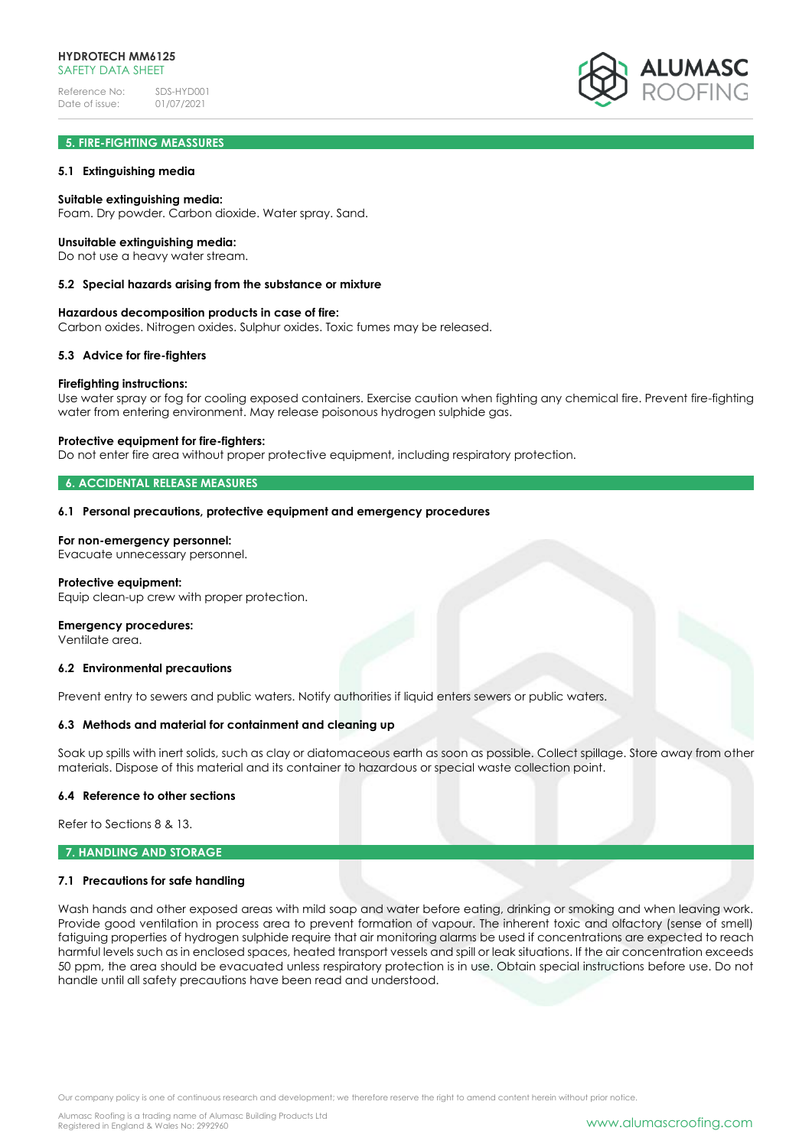

## **5. FIRE-FIGHTING MEASSURES**

### **5.1 Extinguishing media**

### **Suitable extinguishing media:**

Foam. Dry powder. Carbon dioxide. Water spray. Sand.

#### **Unsuitable extinguishing media:**

Do not use a heavy water stream.

#### **5.2 Special hazards arising from the substance or mixture**

#### **Hazardous decomposition products in case of fire:**

Carbon oxides. Nitrogen oxides. Sulphur oxides. Toxic fumes may be released.

#### **5.3 Advice for fire-fighters**

#### **Firefighting instructions:**

Use water spray or fog for cooling exposed containers. Exercise caution when fighting any chemical fire. Prevent fire-fighting water from entering environment. May release poisonous hydrogen sulphide gas.

#### **Protective equipment for fire-fighters:**

Do not enter fire area without proper protective equipment, including respiratory protection.

#### **6. ACCIDENTAL RELEASE MEASURES**

#### **6.1 Personal precautions, protective equipment and emergency procedures**

### **For non-emergency personnel:**

Evacuate unnecessary personnel.

#### **Protective equipment:**

Equip clean-up crew with proper protection.

#### **Emergency procedures:**

Ventilate area.

#### **6.2 Environmental precautions**

Prevent entry to sewers and public waters. Notify authorities if liquid enters sewers or public waters.

#### **6.3 Methods and material for containment and cleaning up**

Soak up spills with inert solids, such as clay or diatomaceous earth as soon as possible. Collect spillage. Store away from other materials. Dispose of this material and its container to hazardous or special waste collection point.

### **6.4 Reference to other sections**

Refer to Sections 8 & 13.

#### **7. HANDLING AND STORAGE**

#### **7.1 Precautions for safe handling**

Wash hands and other exposed areas with mild soap and water before eating, drinking or smoking and when leaving work. Provide good ventilation in process area to prevent formation of vapour. The inherent toxic and olfactory (sense of smell) fatiguing properties of hydrogen sulphide require that air monitoring alarms be used if concentrations are expected to reach harmful levels such as in enclosed spaces, heated transport vessels and spill or leak situations. If the air concentration exceeds 50 ppm, the area should be evacuated unless respiratory protection is in use. Obtain special instructions before use. Do not handle until all safety precautions have been read and understood.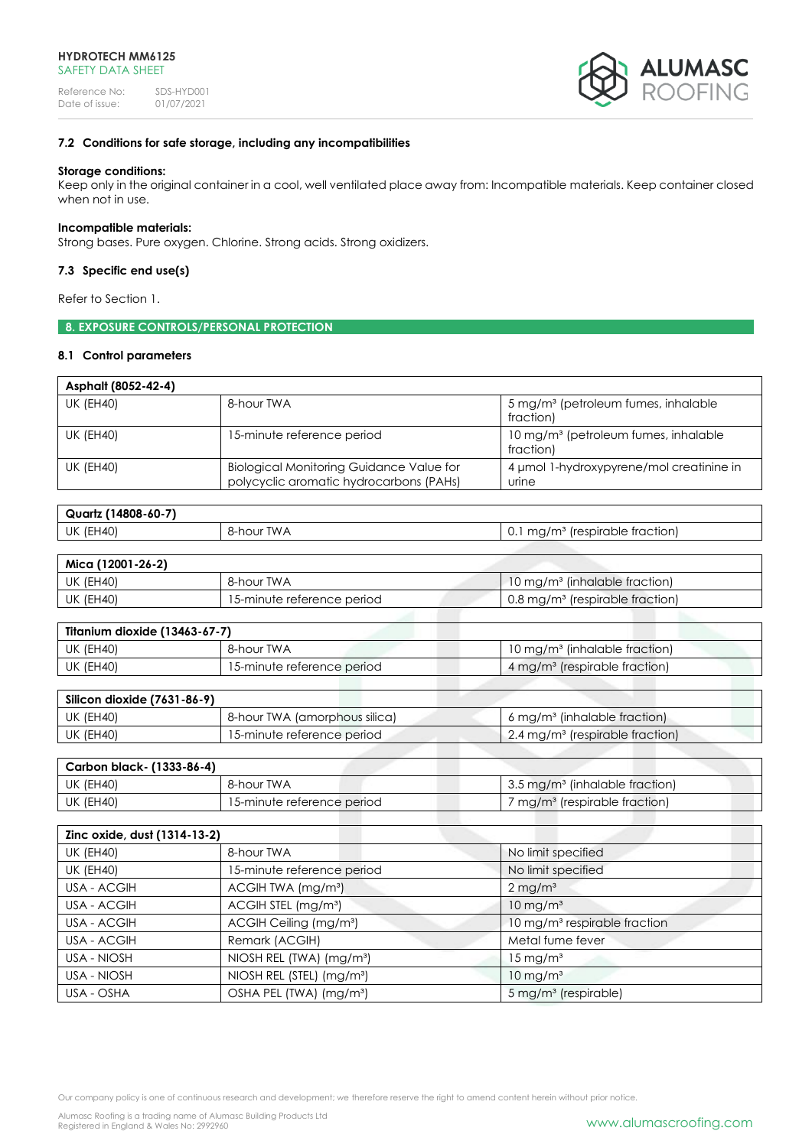

## **7.2 Conditions for safe storage, including any incompatibilities**

### **Storage conditions:**

Keep only in the original container in a cool, well ventilated place away from: Incompatible materials. Keep container closed when not in use.

### **Incompatible materials:**

Strong bases. Pure oxygen. Chlorine. Strong acids. Strong oxidizers.

## **7.3 Specific end use(s)**

Refer to Section 1.

## **8. EXPOSURE CONTROLS/PERSONAL PROTECTION**

### **8.1 Control parameters**

| Asphalt (8052-42-4) |                                                                                            |                                                               |
|---------------------|--------------------------------------------------------------------------------------------|---------------------------------------------------------------|
| UK (EH40)           | 8-hour TWA                                                                                 | 5 mg/m <sup>3</sup> (petroleum fumes, inhalable<br>fraction)  |
| UK (EH40)           | 15-minute reference period                                                                 | 10 mg/m <sup>3</sup> (petroleum fumes, inhalable<br>fraction) |
| <b>UK (EH40)</b>    | <b>Biological Monitoring Guidance Value for</b><br>polycyclic aromatic hydrocarbons (PAHs) | 4 umol 1-hydroxypyrene/mol creatinine in<br>urine             |

| $(14808 - 60 - 7)$<br>Quartz |               |                                                                                              |
|------------------------------|---------------|----------------------------------------------------------------------------------------------|
| (EH40)<br>UK                 | TWA<br>8-hour | frespirable fraction).<br>1/m <sup>3</sup><br>ma <sub>0</sub><br>∪. ∟<br>119711 <sup>.</sup> |

| Mica (12001-26-2) |                            |                                                        |
|-------------------|----------------------------|--------------------------------------------------------|
| UK (EH40)         | 8-hour TWA                 | $10 \,\mathrm{mg/m}$ <sup>3</sup> (inhalable fraction) |
| UK (EH40)         | 15-minute reference period | 0.8 mg/m <sup>3</sup> (respirable fraction)            |

| Titanium dioxide (13463-67-7) |                            |                                           |
|-------------------------------|----------------------------|-------------------------------------------|
| <b>UK (EH40)</b>              | 8-hour TWA                 | 10 mg/m <sup>3</sup> (inhalable fraction) |
| <b>UK (EH40)</b>              | 15-minute reference period | 4 mg/m <sup>3</sup> (respirable fraction) |

| Silicon dioxide (7631-86-9) |                               |                                                   |
|-----------------------------|-------------------------------|---------------------------------------------------|
| UK (EH40)                   | 8-hour TWA (amorphous silica) | $6 \,\mathrm{mg/m^3}$ (inhalable fraction)        |
| UK (EH40)                   | 15-minute reference period    | $\pm$ 2.4 mg/m <sup>3</sup> (respirable fraction) |

| Carbon black- (1333-86-4) |                            |                                                   |
|---------------------------|----------------------------|---------------------------------------------------|
| UK (EH40)                 | 8-hour TWA                 | $\mid$ 3.5 mg/m <sup>3</sup> (inhalable fraction) |
| UK (EH40)                 | 15-minute reference period | mg/m <sup>3</sup> (respirable fraction)           |
|                           |                            |                                                   |

| Zinc oxide, dust (1314-13-2) |                                       |                                          |
|------------------------------|---------------------------------------|------------------------------------------|
| <b>UK (EH40)</b>             | 8-hour TWA                            | No limit specified                       |
| <b>UK (EH40)</b>             | 15-minute reference period            | No limit specified                       |
| USA - ACGIH                  | ACGIH TWA (mg/m <sup>3</sup> )        | $2 \,\mathrm{mg/m^3}$                    |
| USA - ACGIH                  | ACGIH STEL (mg/m <sup>3</sup> )       | $10 \text{ mg/m}^3$                      |
| USA - ACGIH                  | ACGIH Ceiling (mg/m <sup>3</sup> )    | 10 mg/m <sup>3</sup> respirable fraction |
| USA - ACGIH                  | Remark (ACGIH)                        | Metal fume fever                         |
| USA - NIOSH                  | NIOSH REL (TWA) (mg/m <sup>3</sup> )  | $15 \,\mathrm{mg/m^3}$                   |
| USA - NIOSH                  | NIOSH REL (STEL) (mg/m <sup>3</sup> ) | $10 \text{ mg/m}^3$                      |
| USA - OSHA                   | OSHA PEL (TWA) (mg/m <sup>3</sup> )   | 5 mg/m <sup>3</sup> (respirable)         |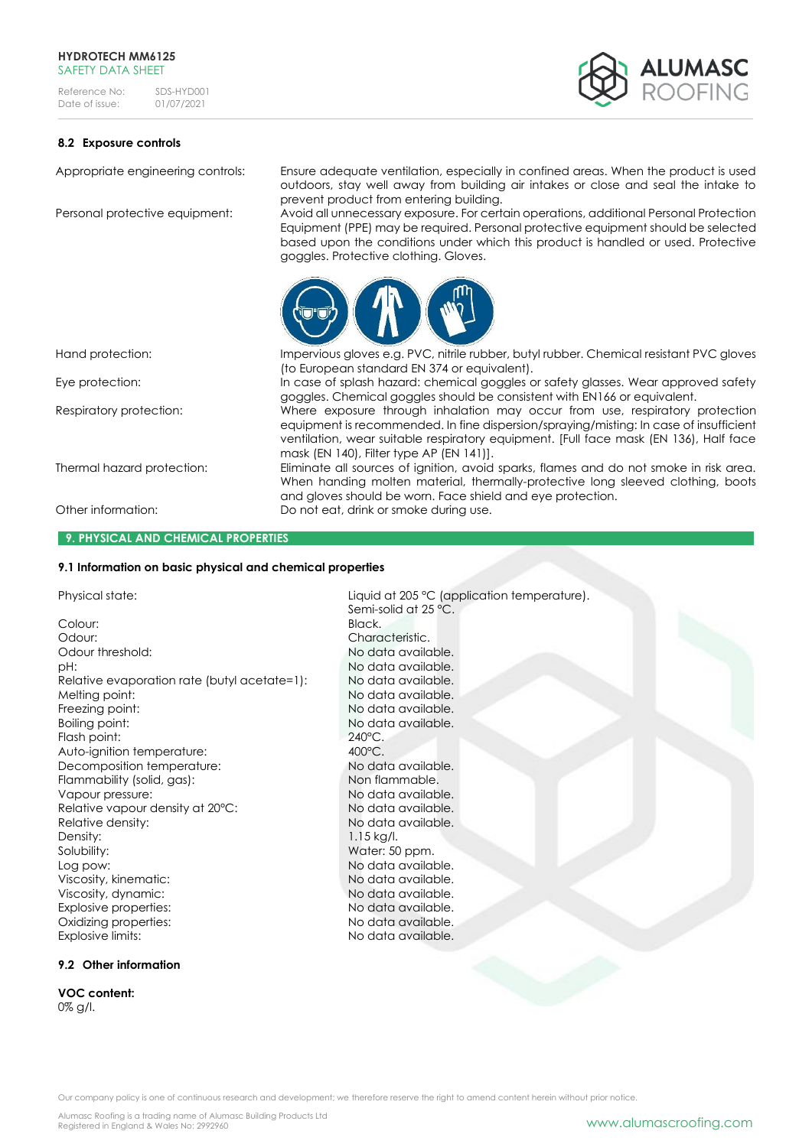

## **8.2 Exposure controls**

Appropriate engineering controls: Ensure adequate ventilation, especially in confined areas. When the product is used outdoors, stay well away from building air intakes or close and seal the intake to prevent product from entering building.

Personal protective equipment: Avoid all unnecessary exposure. For certain operations, additional Personal Protection Equipment (PPE) may be required. Personal protective equipment should be selected based upon the conditions under which this product is handled or used. Protective goggles. Protective clothing. Gloves.

goggles. Chemical goggles should be consistent with EN166 or equivalent.

and gloves should be worn. Face shield and eye protection.

equipment is recommended. In fine dispersion/spraying/misting: In case of insufficient ventilation, wear suitable respiratory equipment. [Full face mask (EN 136), Half face

When handing molten material, thermally-protective long sleeved clothing, boots



mask (EN 140), Filter type AP (EN 141)].

Semi-solid at 25 °C.

(to European standard EN 374 or equivalent).

Hand protection: Impervious gloves e.g. PVC, nitrile rubber, butyl rubber. Chemical resistant PVC gloves

Eye protection: In case of splash hazard: chemical goggles or safety glasses. Wear approved safety

Respiratory protection: Where exposure through inhalation may occur from use, respiratory protection

Thermal hazard protection: Eliminate all sources of ignition, avoid sparks, flames and do not smoke in risk area.

Other information: Do not eat, drink or smoke during use.

#### **9. PHYSICAL AND CHEMICAL PROPERTIES**

### **9.1 Information on basic physical and chemical properties**

Physical state:  $Liquid$  at 205 °C (application temperature).

Colour: Black. Odour: Characteristic. Odour threshold: No data available. pH:  $N$ o data available. Relative evaporation rate (butyl acetate=1): No data available. Melting point: No data available. Freezing point: No data available. Boiling point: No data available. Flash point: 240°C.<br>Auto-ianition temperature: 200°C. Auto-ignition temperature:  $\begin{array}{ccc} 400^{\circ}\text{C} & 400^{\circ}\text{C} \\ \text{Decomposition temperature:} & \text{No data available.} \end{array}$ Decomposition temperature: Flammability (solid, gas): Non flammable. Vapour pressure:  $\blacksquare$ Relative vapour density at 20°C: No data available. Relative density: No data available. Density: 1.15 kg/l. Solubility: Water: 50 ppm.<br>
Log pow: No data availa! Viscosity, kinematic: No data available. Viscosity, dynamic:<br>
Fxplosive properties:<br>
No data available Explosive properties: Oxidizing properties: No data available. Explosive limits: No data available.

No data available.

**9.2 Other information**

**VOC content:**  0% g/l.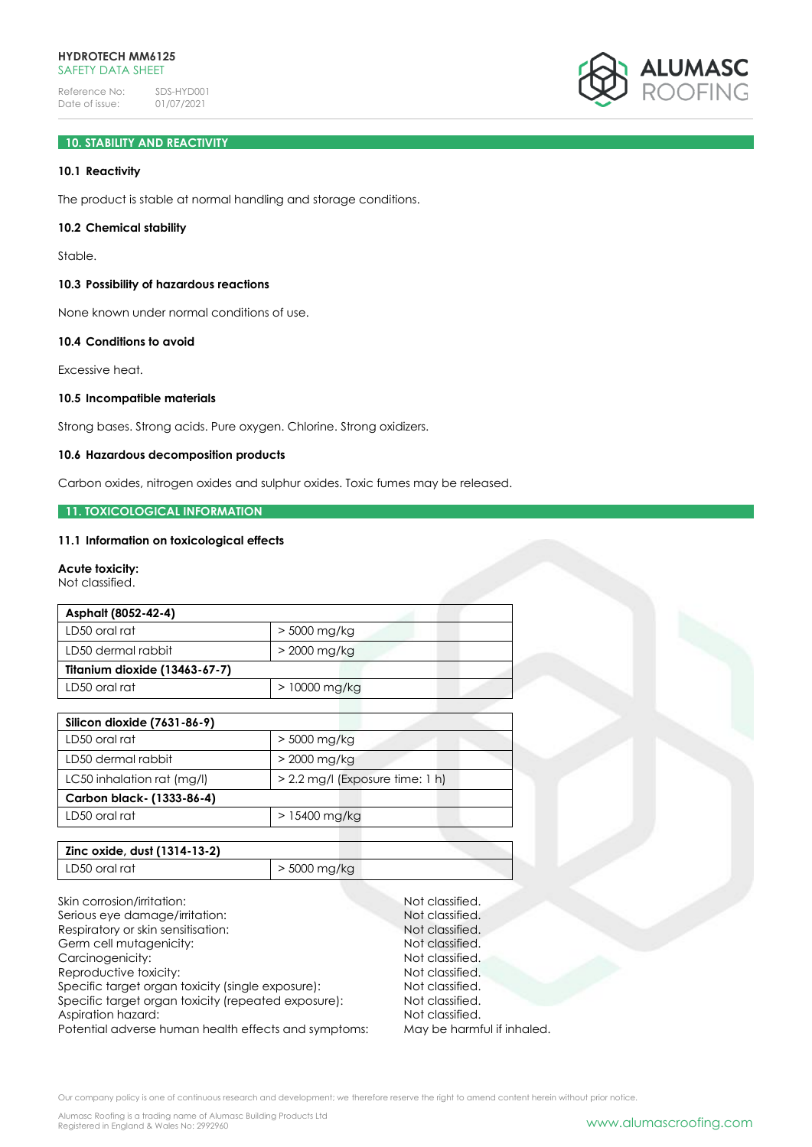

# **10. STABILITY AND REACTIVITY**

## **10.1 Reactivity**

The product is stable at normal handling and storage conditions.

### **10.2 Chemical stability**

Stable.

## **10.3 Possibility of hazardous reactions**

None known under normal conditions of use.

## **10.4 Conditions to avoid**

Excessive heat.

## **10.5 Incompatible materials**

Strong bases. Strong acids. Pure oxygen. Chlorine. Strong oxidizers.

## **10.6 Hazardous decomposition products**

Carbon oxides, nitrogen oxides and sulphur oxides. Toxic fumes may be released.

#### **11. TOXICOLOGICAL INFORMATION**

### **11.1 Information on toxicological effects**

## **Acute toxicity:**

Not classified.

| Asphalt (8052-42-4)           |                |  |
|-------------------------------|----------------|--|
| LD50 oral rat                 | > 5000 mg/kg   |  |
| LD50 dermal rabbit            | $>$ 2000 mg/kg |  |
| Titanium dioxide (13463-67-7) |                |  |
| LD50 oral rat                 | $>10000$ mg/kg |  |

| Silicon dioxide (7631-86-9) |                                   |  |
|-----------------------------|-----------------------------------|--|
| LD50 oral rat               | $>$ 5000 mg/kg                    |  |
| LD50 dermal rabbit          | $>$ 2000 mg/kg                    |  |
| LC50 inhalation rat (mg/l)  | $> 2.2$ mg/l (Exposure time: 1 h) |  |
| Carbon black- (1333-86-4)   |                                   |  |
| LD50 oral rat               | $>15400$ mg/kg                    |  |

| Zinc oxide, dust (1314-13-2) |                |
|------------------------------|----------------|
| LD50 oral rat                | $>$ 5000 mg/kg |

Skin corrosion/irritation: Not classified.<br>
Serious eve damage/irritation: Not classified. Serious eye damage/irritation: Respiratory or skin sensitisation: Not classified. Germ cell mutagenicity: Not classified. Carcinogenicity:  $\blacksquare$  Not classified.<br>
Reproductive toxicity:  $\blacksquare$  Not classified. Reproductive toxicity: Specific target organ toxicity (single exposure): Not classified. Specific target organ toxicity (repeated exposure): Not classified. Aspiration hazard: Not classified.<br>
Potential adverse human health effects and symptoms: May be harmful if inhaled. Potential adverse human health effects and symptoms: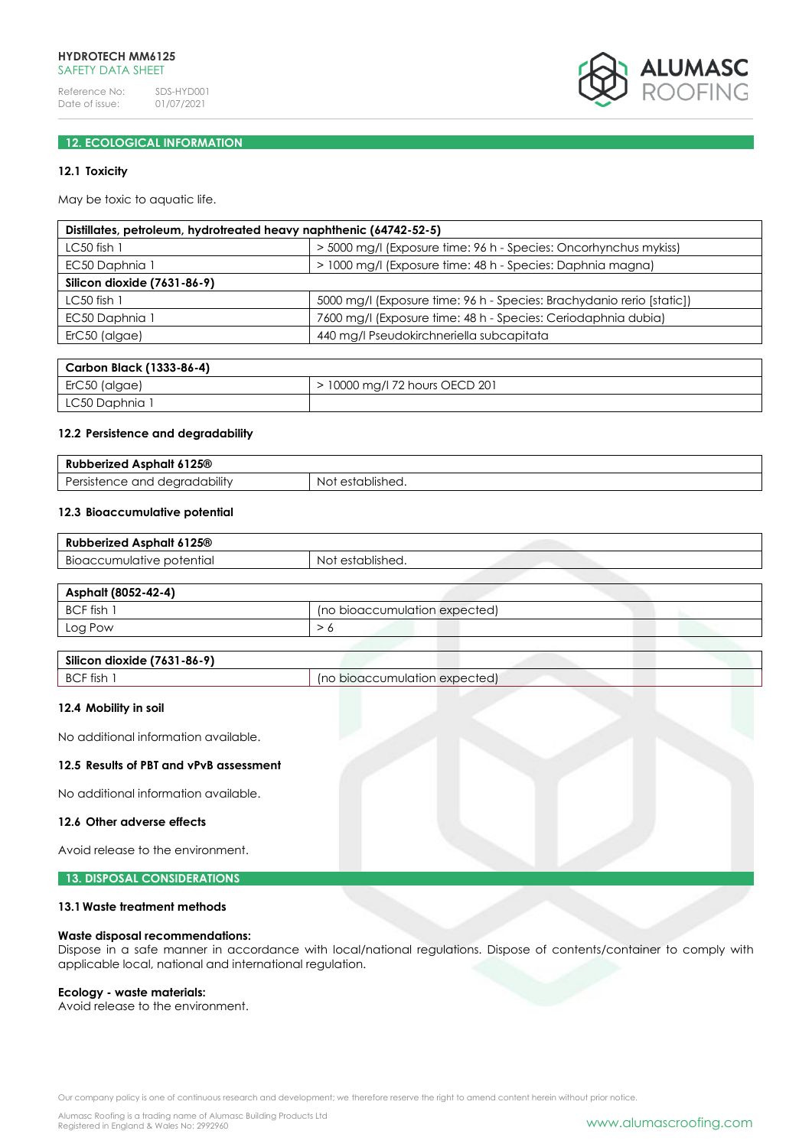

## **12. ECOLOGICAL INFORMATION**

## **12.1 Toxicity**

May be toxic to aquatic life.

| Distillates, petroleum, hydrotreated heavy naphthenic (64742-52-5) |                                                                       |  |
|--------------------------------------------------------------------|-----------------------------------------------------------------------|--|
| $LC50$ fish $1$                                                    | > 5000 mg/l (Exposure time: 96 h - Species: Oncorhynchus mykiss)      |  |
| EC50 Daphnia 1                                                     | > 1000 mg/l (Exposure time: 48 h - Species: Daphnia magna)            |  |
| Silicon dioxide (7631-86-9)                                        |                                                                       |  |
| $LC50$ fish 1                                                      | 5000 mg/l (Exposure time: 96 h - Species: Brachydanio rerio [static]) |  |
| EC50 Daphnia 1                                                     | 7600 mg/l (Exposure time: 48 h - Species: Ceriodaphnia dubia)         |  |
| ErC50 (algae)                                                      | 440 mg/l Pseudokirchneriella subcapitata                              |  |
|                                                                    |                                                                       |  |

| Carbon Black (1333-86-4)   |                                |
|----------------------------|--------------------------------|
| <sup>1</sup> ErC50 (algae) | > 10000 mg/l 72 hours OECD 201 |
| LC50 Daphnia 1             |                                |

#### **12.2 Persistence and degradability**

| 6125 <sup>®</sup><br>perized Asphalt<br>Rul              |                     |
|----------------------------------------------------------|---------------------|
| .<br>≧ana r<br>degradability<br>ersis<br>51⊟L'<br>$\sim$ | established.<br>NO. |

## **12.3 Bioaccumulative potential**

| Asphalt 6125 <sup>®</sup><br>Rubberized   |                     |
|-------------------------------------------|---------------------|
| $\cdot$ .<br>Bioaccumulative<br>potential | establishea.<br>NC. |

| Asphalt (8052-42-4) |                               |
|---------------------|-------------------------------|
| BCF fish 1          | (no bioaccumulation expected) |
| Log Pow             |                               |

| Silicon dioxide (7631-86-9) |                 |
|-----------------------------|-----------------|
| BCF fish                    | bioaccumulation |
| 'no .                       | i expected)     |

## **12.4 Mobility in soil**

No additional information available.

#### **12.5 Results of PBT and vPvB assessment**

No additional information available.

#### **12.6 Other adverse effects**

Avoid release to the environment.

## **13. DISPOSAL CONSIDERATIONS**

## **13.1Waste treatment methods**

#### **Waste disposal recommendations:**

Dispose in a safe manner in accordance with local/national regulations. Dispose of contents/container to comply with applicable local, national and international regulation.

## **Ecology - waste materials:**

Avoid release to the environment.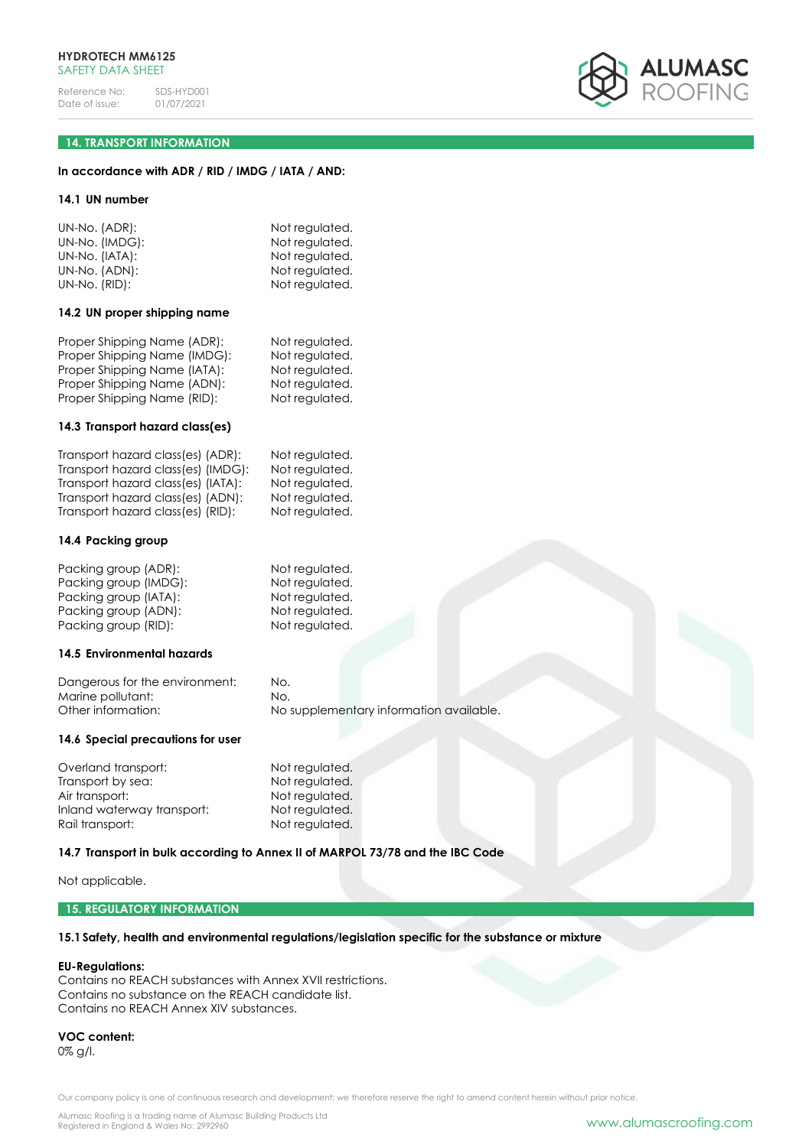

## **14. TRANSPORT INFORMATION**

## **In accordance with ADR / RID / IMDG / IATA / AND:**

#### **14.1 UN number**

| UN-No. (ADR):  | Not regulated. |
|----------------|----------------|
| UN-No. (IMDG): | Not regulated. |
| UN-No. (IATA): | Not regulated. |
| UN-No. (ADN):  | Not regulated. |
| UN-No. (RID):  | Not regulated. |

#### **14.2 UN proper shipping name**

| Proper Shipping Name (ADR):  | Not regulated. |
|------------------------------|----------------|
| Proper Shipping Name (IMDG): | Not regulated. |
| Proper Shipping Name (IATA): | Not regulated. |
| Proper Shipping Name (ADN):  | Not regulated. |
| Proper Shipping Name (RID):  | Not regulated. |
|                              |                |

#### **14.3 Transport hazard class(es)**

| Transport hazard class(es) (ADR):  | Not regulated. |
|------------------------------------|----------------|
| Transport hazard class(es) (IMDG): | Not regulated. |
| Transport hazard class(es) (IATA): | Not regulated. |
| Transport hazard class(es) (ADN):  | Not regulated. |
| Transport hazard class(es) (RID):  | Not regulated. |

#### **14.4 Packing group**

| Packing group (ADR):  | Not regulated. |
|-----------------------|----------------|
| Packing group (IMDG): | Not regulated. |
| Packing group (IATA): | Not regulated. |
| Packing group (ADN):  | Not regulated. |
| Packing group (RID):  | Not regulated. |

#### **14.5 Environmental hazards**

Dangerous for the environment: No. Marine pollutant: No. Other information: No supplementary information available.

## **14.6 Special precautions for user**

Overland transport:<br>
Transport by sea:<br>
Not regulated. Transport by sea:<br>Air transport: Inland waterway transport: Not regulated. Rail transport: Not regulated.

Not regulated.

## **14.7 Transport in bulk according to Annex II of MARPOL 73/78 and the IBC Code**

Not applicable.

### **15. REGULATORY INFORMATION**

## **15.1Safety, health and environmental regulations/legislation specific for the substance or mixture**

#### **EU-Regulations:**

Contains no REACH substances with Annex XVII restrictions. Contains no substance on the REACH candidate list. Contains no REACH Annex XIV substances.

**VOC content:** 0% g/l.